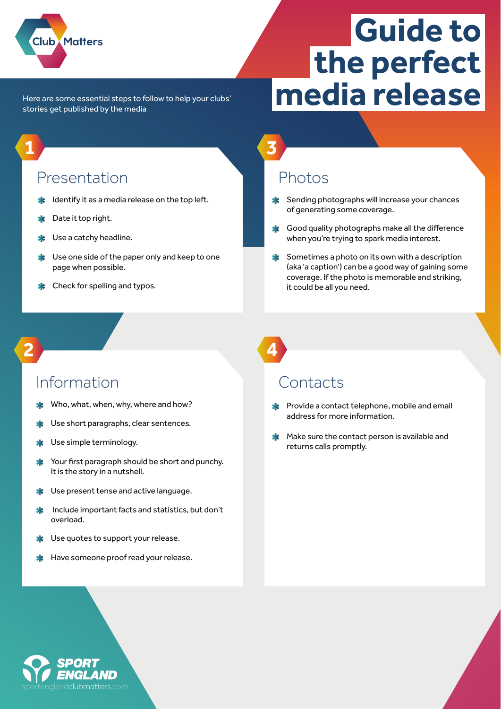

**1**

**2**

# **Guide to the perfect media release**

Here are some essential steps to follow to help your clubs' stories get published by the media

#### Presentation

- **If** Identify it as a media release on the top left.
- Date it top right.
- Use a catchy headline.
- Use one side of the paper only and keep to one page when possible.
- Check for spelling and typos.

### Photos

**3**

- Sending photographs will increase your chances of generating some coverage.
- Good quality photographs make all the difference 坐 when you're trying to spark media interest.
- Sometimes a photo on its own with a description (aka 'a caption') can be a good way of gaining some coverage. If the photo is memorable and striking, it could be all you need.

#### Information

- Who, what, when, why, where and how?
- Use short paragraphs, clear sentences.
- Use simple terminology.
- Your first paragraph should be short and punchy. It is the story in a nutshell.
- Use present tense and active language.
- Include important facts and statistics, but don't overload.
- Use quotes to support your release.
- Have someone proof read your release.

**4**

#### Contacts

- **\*** Provide a contact telephone, mobile and email address for more information.
- **X** Make sure the contact person is available and returns calls promptly.